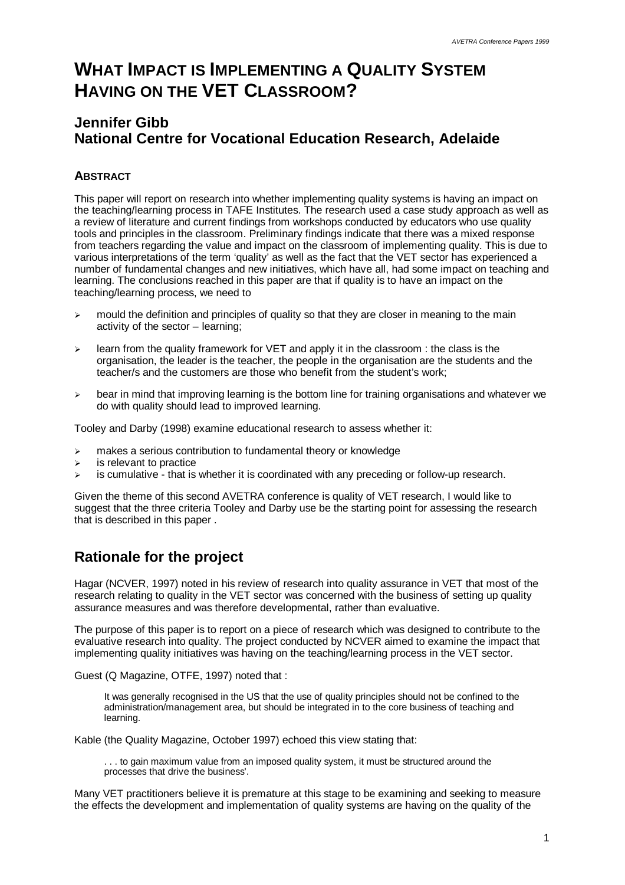# **WHAT IMPACT IS IMPLEMENTING A QUALITY SYSTEM HAVING ON THE VET CLASSROOM?**

### **Jennifer Gibb National Centre for Vocational Education Research, Adelaide**

### **ABSTRACT**

This paper will report on research into whether implementing quality systems is having an impact on the teaching/learning process in TAFE Institutes. The research used a case study approach as well as a review of literature and current findings from workshops conducted by educators who use quality tools and principles in the classroom. Preliminary findings indicate that there was a mixed response from teachers regarding the value and impact on the classroom of implementing quality. This is due to various interpretations of the term 'quality' as well as the fact that the VET sector has experienced a number of fundamental changes and new initiatives, which have all, had some impact on teaching and learning. The conclusions reached in this paper are that if quality is to have an impact on the teaching/learning process, we need to

- $\geq$  mould the definition and principles of quality so that they are closer in meaning to the main activity of the sector – learning;
- $\geq$  learn from the quality framework for VET and apply it in the classroom : the class is the organisation, the leader is the teacher, the people in the organisation are the students and the teacher/s and the customers are those who benefit from the student's work;
- $\geq$  bear in mind that improving learning is the bottom line for training organisations and whatever we do with quality should lead to improved learning.

Tooley and Darby (1998) examine educational research to assess whether it:

- $\triangleright$  makes a serious contribution to fundamental theory or knowledge
- $\triangleright$  is relevant to practice
- $\geq$  is cumulative that is whether it is coordinated with any preceding or follow-up research.

Given the theme of this second AVETRA conference is quality of VET research, I would like to suggest that the three criteria Tooley and Darby use be the starting point for assessing the research that is described in this paper .

### **Rationale for the project**

Hagar (NCVER, 1997) noted in his review of research into quality assurance in VET that most of the research relating to quality in the VET sector was concerned with the business of setting up quality assurance measures and was therefore developmental, rather than evaluative.

The purpose of this paper is to report on a piece of research which was designed to contribute to the evaluative research into quality. The project conducted by NCVER aimed to examine the impact that implementing quality initiatives was having on the teaching/learning process in the VET sector.

Guest (Q Magazine, OTFE, 1997) noted that :

It was generally recognised in the US that the use of quality principles should not be confined to the administration/management area, but should be integrated in to the core business of teaching and learning.

Kable (the Quality Magazine, October 1997) echoed this view stating that:

... to gain maximum value from an imposed quality system, it must be structured around the processes that drive the business'.

Many VET practitioners believe it is premature at this stage to be examining and seeking to measure the effects the development and implementation of quality systems are having on the quality of the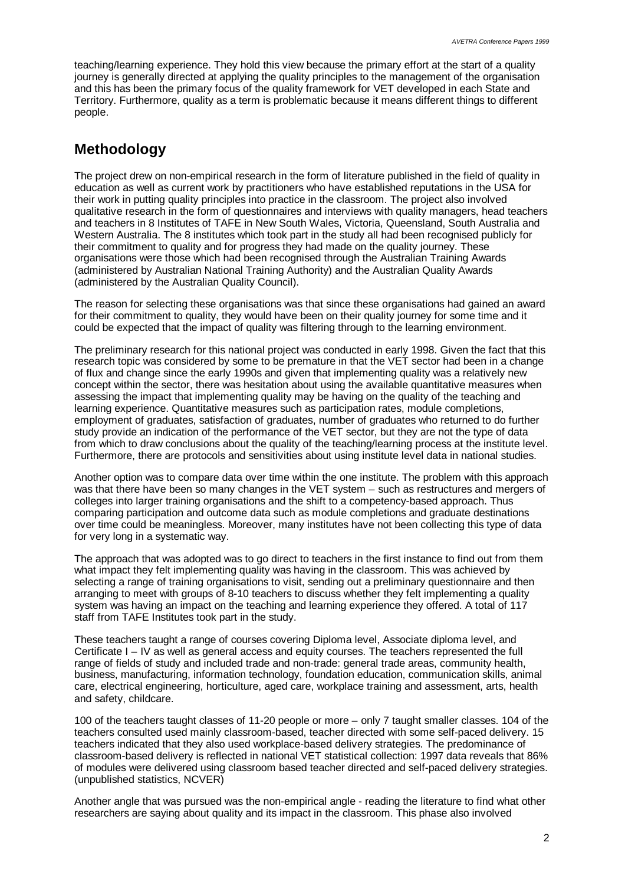teaching/learning experience. They hold this view because the primary effort at the start of a quality journey is generally directed at applying the quality principles to the management of the organisation and this has been the primary focus of the quality framework for VET developed in each State and Territory. Furthermore, quality as a term is problematic because it means different things to different people.

### **Methodology**

The project drew on non-empirical research in the form of literature published in the field of quality in education as well as current work by practitioners who have established reputations in the USA for their work in putting quality principles into practice in the classroom. The project also involved qualitative research in the form of questionnaires and interviews with quality managers, head teachers and teachers in 8 Institutes of TAFE in New South Wales, Victoria, Queensland, South Australia and Western Australia. The 8 institutes which took part in the study all had been recognised publicly for their commitment to quality and for progress they had made on the quality journey. These organisations were those which had been recognised through the Australian Training Awards (administered by Australian National Training Authority) and the Australian Quality Awards (administered by the Australian Quality Council).

The reason for selecting these organisations was that since these organisations had gained an award for their commitment to quality, they would have been on their quality journey for some time and it could be expected that the impact of quality was filtering through to the learning environment.

The preliminary research for this national project was conducted in early 1998. Given the fact that this research topic was considered by some to be premature in that the VET sector had been in a change of flux and change since the early 1990s and given that implementing quality was a relatively new concept within the sector, there was hesitation about using the available quantitative measures when assessing the impact that implementing quality may be having on the quality of the teaching and learning experience. Quantitative measures such as participation rates, module completions, employment of graduates, satisfaction of graduates, number of graduates who returned to do further study provide an indication of the performance of the VET sector, but they are not the type of data from which to draw conclusions about the quality of the teaching/learning process at the institute level. Furthermore, there are protocols and sensitivities about using institute level data in national studies.

Another option was to compare data over time within the one institute. The problem with this approach was that there have been so many changes in the VET system – such as restructures and mergers of colleges into larger training organisations and the shift to a competency-based approach. Thus comparing participation and outcome data such as module completions and graduate destinations over time could be meaningless. Moreover, many institutes have not been collecting this type of data for very long in a systematic way.

The approach that was adopted was to go direct to teachers in the first instance to find out from them what impact they felt implementing quality was having in the classroom. This was achieved by selecting a range of training organisations to visit, sending out a preliminary questionnaire and then arranging to meet with groups of 8-10 teachers to discuss whether they felt implementing a quality system was having an impact on the teaching and learning experience they offered. A total of 117 staff from TAFE Institutes took part in the study.

These teachers taught a range of courses covering Diploma level, Associate diploma level, and Certificate I – IV as well as general access and equity courses. The teachers represented the full range of fields of study and included trade and non-trade: general trade areas, community health, business, manufacturing, information technology, foundation education, communication skills, animal care, electrical engineering, horticulture, aged care, workplace training and assessment, arts, health and safety, childcare.

100 of the teachers taught classes of 11-20 people or more – only 7 taught smaller classes. 104 of the teachers consulted used mainly classroom-based, teacher directed with some self-paced delivery. 15 teachers indicated that they also used workplace-based delivery strategies. The predominance of classroom-based delivery is reflected in national VET statistical collection: 1997 data reveals that 86% of modules were delivered using classroom based teacher directed and self-paced delivery strategies. (unpublished statistics, NCVER)

Another angle that was pursued was the non-empirical angle - reading the literature to find what other researchers are saying about quality and its impact in the classroom. This phase also involved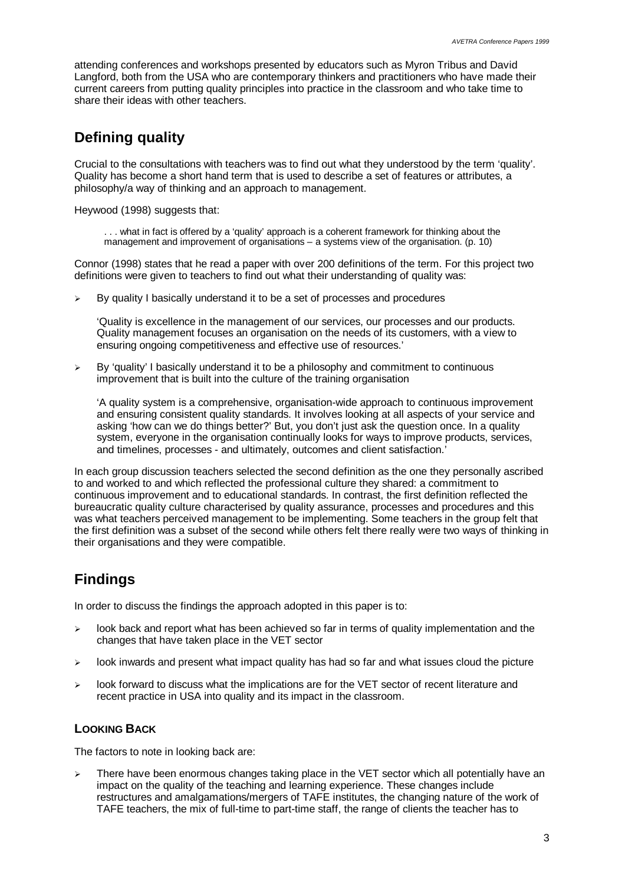attending conferences and workshops presented by educators such as Myron Tribus and David Langford, both from the USA who are contemporary thinkers and practitioners who have made their current careers from putting quality principles into practice in the classroom and who take time to share their ideas with other teachers.

## **Defining quality**

Crucial to the consultations with teachers was to find out what they understood by the term 'quality'. Quality has become a short hand term that is used to describe a set of features or attributes, a philosophy/a way of thinking and an approach to management.

Heywood (1998) suggests that:

. . . what in fact is offered by a 'quality' approach is a coherent framework for thinking about the management and improvement of organisations – a systems view of the organisation. (p. 10)

Connor (1998) states that he read a paper with over 200 definitions of the term. For this project two definitions were given to teachers to find out what their understanding of quality was:

 $\triangleright$  By quality I basically understand it to be a set of processes and procedures

'Quality is excellence in the management of our services, our processes and our products. Quality management focuses an organisation on the needs of its customers, with a view to ensuring ongoing competitiveness and effective use of resources.'

ÿ By 'quality' I basically understand it to be a philosophy and commitment to continuous improvement that is built into the culture of the training organisation

'A quality system is a comprehensive, organisation-wide approach to continuous improvement and ensuring consistent quality standards. It involves looking at all aspects of your service and asking 'how can we do things better?' But, you don't just ask the question once. In a quality system, everyone in the organisation continually looks for ways to improve products, services, and timelines, processes - and ultimately, outcomes and client satisfaction.'

In each group discussion teachers selected the second definition as the one they personally ascribed to and worked to and which reflected the professional culture they shared: a commitment to continuous improvement and to educational standards. In contrast, the first definition reflected the bureaucratic quality culture characterised by quality assurance, processes and procedures and this was what teachers perceived management to be implementing. Some teachers in the group felt that the first definition was a subset of the second while others felt there really were two ways of thinking in their organisations and they were compatible.

# **Findings**

In order to discuss the findings the approach adopted in this paper is to:

- $\geq$  look back and report what has been achieved so far in terms of quality implementation and the changes that have taken place in the VET sector
- $\geq$  look inwards and present what impact quality has had so far and what issues cloud the picture
- $\geq$  look forward to discuss what the implications are for the VET sector of recent literature and recent practice in USA into quality and its impact in the classroom.

#### **LOOKING BACK**

The factors to note in looking back are:

 $\triangleright$  There have been enormous changes taking place in the VET sector which all potentially have an impact on the quality of the teaching and learning experience. These changes include restructures and amalgamations/mergers of TAFE institutes, the changing nature of the work of TAFE teachers, the mix of full-time to part-time staff, the range of clients the teacher has to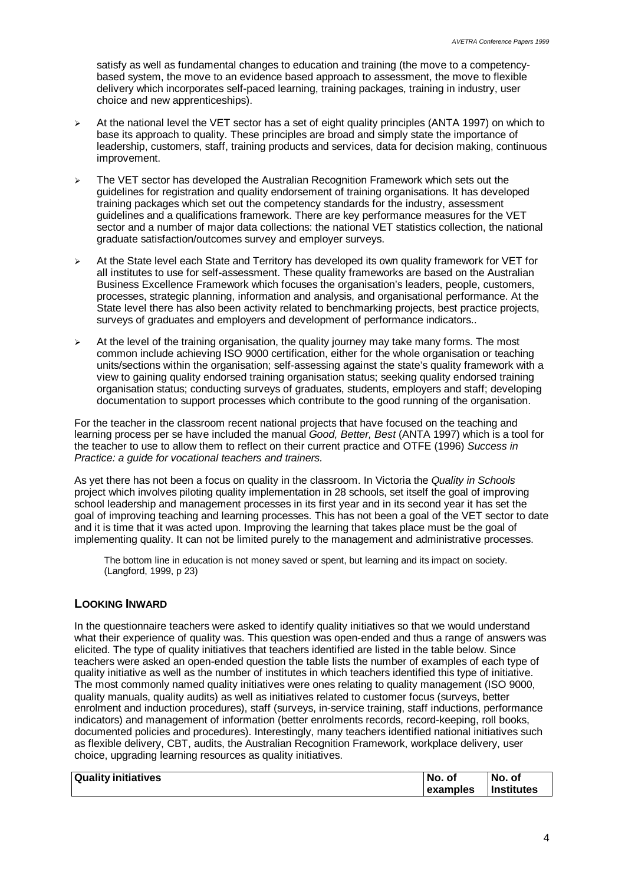satisfy as well as fundamental changes to education and training (the move to a competencybased system, the move to an evidence based approach to assessment, the move to flexible delivery which incorporates self-paced learning, training packages, training in industry, user choice and new apprenticeships).

- $\geq$  At the national level the VET sector has a set of eight quality principles (ANTA 1997) on which to base its approach to quality. These principles are broad and simply state the importance of leadership, customers, staff, training products and services, data for decision making, continuous improvement.
- $\geq$  The VET sector has developed the Australian Recognition Framework which sets out the guidelines for registration and quality endorsement of training organisations. It has developed training packages which set out the competency standards for the industry, assessment guidelines and a qualifications framework. There are key performance measures for the VET sector and a number of major data collections: the national VET statistics collection, the national graduate satisfaction/outcomes survey and employer surveys.
- $\geq$  At the State level each State and Territory has developed its own quality framework for VET for all institutes to use for self-assessment. These quality frameworks are based on the Australian Business Excellence Framework which focuses the organisation's leaders, people, customers, processes, strategic planning, information and analysis, and organisational performance. At the State level there has also been activity related to benchmarking projects, best practice projects, surveys of graduates and employers and development of performance indicators..
- $\triangleright$  At the level of the training organisation, the quality journey may take many forms. The most common include achieving ISO 9000 certification, either for the whole organisation or teaching units/sections within the organisation; self-assessing against the state's quality framework with a view to gaining quality endorsed training organisation status; seeking quality endorsed training organisation status; conducting surveys of graduates, students, employers and staff; developing documentation to support processes which contribute to the good running of the organisation.

For the teacher in the classroom recent national projects that have focused on the teaching and learning process per se have included the manual *Good, Better, Best* (ANTA 1997) which is a tool for the teacher to use to allow them to reflect on their current practice and OTFE (1996) *Success in Practice: a guide for vocational teachers and trainers.*

As yet there has not been a focus on quality in the classroom. In Victoria the *Quality in Schools* project which involves piloting quality implementation in 28 schools, set itself the goal of improving school leadership and management processes in its first year and in its second year it has set the goal of improving teaching and learning processes. This has not been a goal of the VET sector to date and it is time that it was acted upon. Improving the learning that takes place must be the goal of implementing quality. It can not be limited purely to the management and administrative processes.

The bottom line in education is not money saved or spent, but learning and its impact on society. (Langford, 1999, p 23)

#### **LOOKING INWARD**

In the questionnaire teachers were asked to identify quality initiatives so that we would understand what their experience of quality was. This question was open-ended and thus a range of answers was elicited. The type of quality initiatives that teachers identified are listed in the table below. Since teachers were asked an open-ended question the table lists the number of examples of each type of quality initiative as well as the number of institutes in which teachers identified this type of initiative. The most commonly named quality initiatives were ones relating to quality management (ISO 9000, quality manuals, quality audits) as well as initiatives related to customer focus (surveys, better enrolment and induction procedures), staff (surveys, in-service training, staff inductions, performance indicators) and management of information (better enrolments records, record-keeping, roll books, documented policies and procedures). Interestingly, many teachers identified national initiatives such as flexible delivery, CBT, audits, the Australian Recognition Framework, workplace delivery, user choice, upgrading learning resources as quality initiatives.

| <b>Quality initiatives</b> | No. of   | No. of            |
|----------------------------|----------|-------------------|
|                            | examples | <b>Institutes</b> |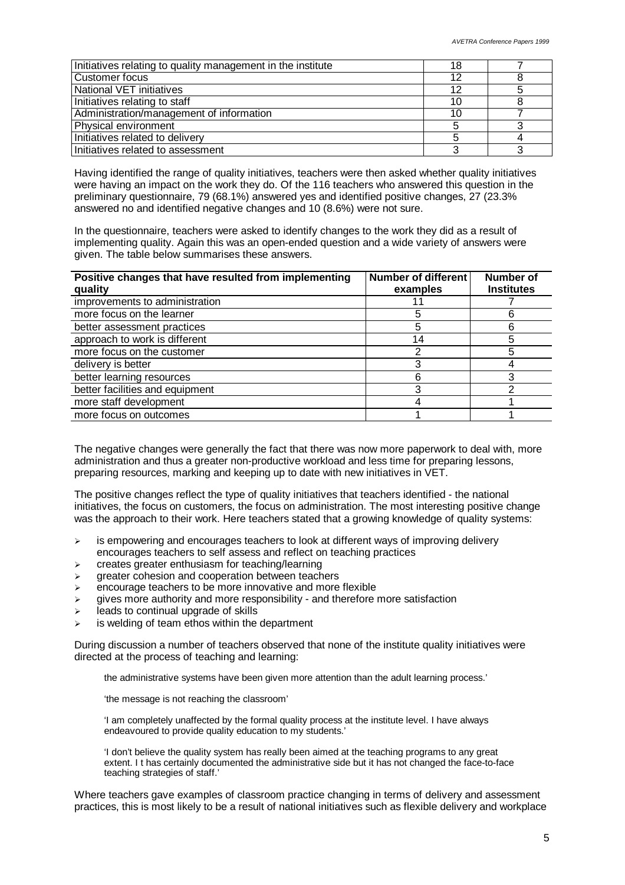| Initiatives relating to quality management in the institute | 18 |  |
|-------------------------------------------------------------|----|--|
| Customer focus                                              | 12 |  |
| <b>National VET initiatives</b>                             | 12 |  |
| Initiatives relating to staff                               | 10 |  |
| Administration/management of information                    | 10 |  |
| Physical environment                                        |    |  |
| Initiatives related to delivery                             |    |  |
| Initiatives related to assessment                           |    |  |

Having identified the range of quality initiatives, teachers were then asked whether quality initiatives were having an impact on the work they do. Of the 116 teachers who answered this question in the preliminary questionnaire, 79 (68.1%) answered yes and identified positive changes, 27 (23.3% answered no and identified negative changes and 10 (8.6%) were not sure.

In the questionnaire, teachers were asked to identify changes to the work they did as a result of implementing quality. Again this was an open-ended question and a wide variety of answers were given. The table below summarises these answers.

| Positive changes that have resulted from implementing<br>quality | <b>Number of different</b><br>examples | <b>Number of</b><br><b>Institutes</b> |
|------------------------------------------------------------------|----------------------------------------|---------------------------------------|
| improvements to administration                                   |                                        |                                       |
| more focus on the learner                                        | 5                                      | 6                                     |
| better assessment practices                                      | 5                                      | 6                                     |
| approach to work is different                                    | 14                                     |                                       |
| more focus on the customer                                       |                                        | 5                                     |
| delivery is better                                               | 3                                      |                                       |
| better learning resources                                        | 6                                      | 3                                     |
| better facilities and equipment                                  | 3                                      | າ                                     |
| more staff development                                           |                                        |                                       |
| more focus on outcomes                                           |                                        |                                       |

The negative changes were generally the fact that there was now more paperwork to deal with, more administration and thus a greater non-productive workload and less time for preparing lessons, preparing resources, marking and keeping up to date with new initiatives in VET.

The positive changes reflect the type of quality initiatives that teachers identified - the national initiatives, the focus on customers, the focus on administration. The most interesting positive change was the approach to their work. Here teachers stated that a growing knowledge of quality systems:

- $\triangleright$  is empowering and encourages teachers to look at different ways of improving delivery encourages teachers to self assess and reflect on teaching practices
- $\triangleright$  creates greater enthusiasm for teaching/learning
- $\triangleright$  greater cohesion and cooperation between teachers
- $\triangleright$  encourage teachers to be more innovative and more flexible
- $\geq$  gives more authority and more responsibility and therefore more satisfaction
- $\triangleright$  leads to continual upgrade of skills
- is welding of team ethos within the department

During discussion a number of teachers observed that none of the institute quality initiatives were directed at the process of teaching and learning:

the administrative systems have been given more attention than the adult learning process.'

'the message is not reaching the classroom'

'I am completely unaffected by the formal quality process at the institute level. I have always endeavoured to provide quality education to my students.'

'I don't believe the quality system has really been aimed at the teaching programs to any great extent. I t has certainly documented the administrative side but it has not changed the face-to-face teaching strategies of staff.'

Where teachers gave examples of classroom practice changing in terms of delivery and assessment practices, this is most likely to be a result of national initiatives such as flexible delivery and workplace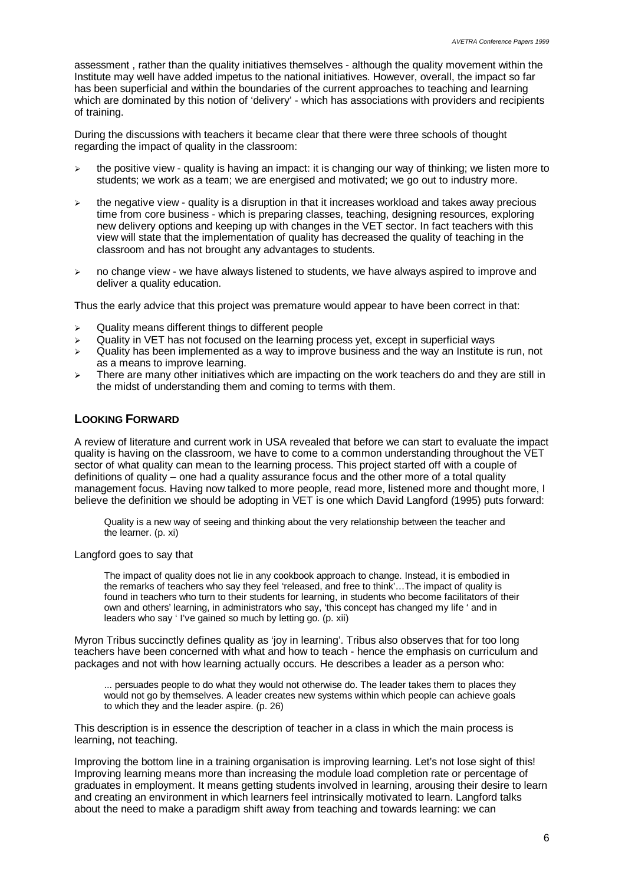assessment , rather than the quality initiatives themselves - although the quality movement within the Institute may well have added impetus to the national initiatives. However, overall, the impact so far has been superficial and within the boundaries of the current approaches to teaching and learning which are dominated by this notion of 'delivery' - which has associations with providers and recipients of training.

During the discussions with teachers it became clear that there were three schools of thought regarding the impact of quality in the classroom:

- $\geq$  the positive view quality is having an impact: it is changing our way of thinking; we listen more to students; we work as a team; we are energised and motivated; we go out to industry more.
- $\triangleright$  the negative view quality is a disruption in that it increases workload and takes away precious time from core business - which is preparing classes, teaching, designing resources, exploring new delivery options and keeping up with changes in the VET sector. In fact teachers with this view will state that the implementation of quality has decreased the quality of teaching in the classroom and has not brought any advantages to students.
- $\geq$  no change view we have always listened to students, we have always aspired to improve and deliver a quality education.

Thus the early advice that this project was premature would appear to have been correct in that:

- $\triangleright$  Quality means different things to different people
- $\triangleright$  Quality in VET has not focused on the learning process yet, except in superficial ways
- $\triangleright$  Quality has been implemented as a way to improve business and the way an Institute is run, not as a means to improve learning.
- $\triangleright$  There are many other initiatives which are impacting on the work teachers do and they are still in the midst of understanding them and coming to terms with them.

#### **LOOKING FORWARD**

A review of literature and current work in USA revealed that before we can start to evaluate the impact quality is having on the classroom, we have to come to a common understanding throughout the VET sector of what quality can mean to the learning process. This project started off with a couple of definitions of quality – one had a quality assurance focus and the other more of a total quality management focus. Having now talked to more people, read more, listened more and thought more, I believe the definition we should be adopting in VET is one which David Langford (1995) puts forward:

Quality is a new way of seeing and thinking about the very relationship between the teacher and the learner. (p. xi)

Langford goes to say that

The impact of quality does not lie in any cookbook approach to change. Instead, it is embodied in the remarks of teachers who say they feel 'released, and free to think'… The impact of quality is found in teachers who turn to their students for learning, in students who become facilitators of their own and others' learning, in administrators who say, 'this concept has changed my life ' and in leaders who say ' I've gained so much by letting go. (p. xii)

Myron Tribus succinctly defines quality as 'joy in learning'. Tribus also observes that for too long teachers have been concerned with what and how to teach - hence the emphasis on curriculum and packages and not with how learning actually occurs. He describes a leader as a person who:

... persuades people to do what they would not otherwise do. The leader takes them to places they would not go by themselves. A leader creates new systems within which people can achieve goals to which they and the leader aspire. (p. 26)

This description is in essence the description of teacher in a class in which the main process is learning, not teaching.

Improving the bottom line in a training organisation is improving learning. Let's not lose sight of this! Improving learning means more than increasing the module load completion rate or percentage of graduates in employment. It means getting students involved in learning, arousing their desire to learn and creating an environment in which learners feel intrinsically motivated to learn. Langford talks about the need to make a paradigm shift away from teaching and towards learning: we can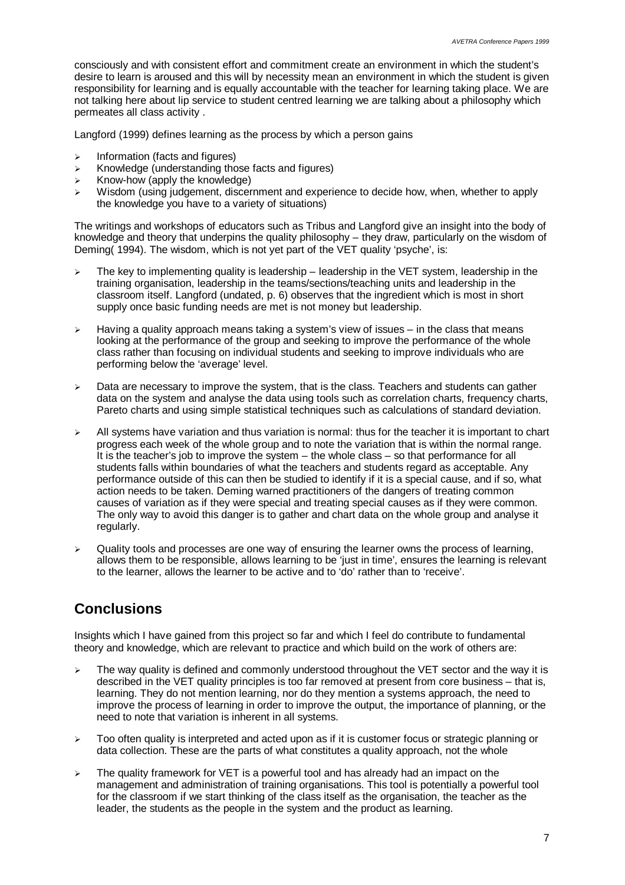consciously and with consistent effort and commitment create an environment in which the student's desire to learn is aroused and this will by necessity mean an environment in which the student is given responsibility for learning and is equally accountable with the teacher for learning taking place. We are not talking here about lip service to student centred learning we are talking about a philosophy which permeates all class activity .

Langford (1999) defines learning as the process by which a person gains

- $\triangleright$  Information (facts and figures)
- $\triangleright$  Knowledge (understanding those facts and figures)
- $\triangleright$  Know-how (apply the knowledge)
- $\triangleright$  Wisdom (using judgement, discernment and experience to decide how, when, whether to apply the knowledge you have to a variety of situations)

The writings and workshops of educators such as Tribus and Langford give an insight into the body of knowledge and theory that underpins the quality philosophy – they draw, particularly on the wisdom of Deming( 1994). The wisdom, which is not yet part of the VET quality 'psyche', is:

- $\geq$  The key to implementing quality is leadership leadership in the VET system, leadership in the training organisation, leadership in the teams/sections/teaching units and leadership in the classroom itself. Langford (undated, p. 6) observes that the ingredient which is most in short supply once basic funding needs are met is not money but leadership.
- $\geq$  Having a quality approach means taking a system's view of issues in the class that means looking at the performance of the group and seeking to improve the performance of the whole class rather than focusing on individual students and seeking to improve individuals who are performing below the 'average' level.
- $\geq$  Data are necessary to improve the system, that is the class. Teachers and students can gather data on the system and analyse the data using tools such as correlation charts, frequency charts, Pareto charts and using simple statistical techniques such as calculations of standard deviation.
- $\geq$  All systems have variation and thus variation is normal: thus for the teacher it is important to chart progress each week of the whole group and to note the variation that is within the normal range. It is the teacher's job to improve the system – the whole class – so that performance for all students falls within boundaries of what the teachers and students regard as acceptable. Any performance outside of this can then be studied to identify if it is a special cause, and if so, what action needs to be taken. Deming warned practitioners of the dangers of treating common causes of variation as if they were special and treating special causes as if they were common. The only way to avoid this danger is to gather and chart data on the whole group and analyse it regularly.
- $\triangleright$  Quality tools and processes are one way of ensuring the learner owns the process of learning. allows them to be responsible, allows learning to be 'just in time', ensures the learning is relevant to the learner, allows the learner to be active and to 'do' rather than to 'receive'.

# **Conclusions**

Insights which I have gained from this project so far and which I feel do contribute to fundamental theory and knowledge, which are relevant to practice and which build on the work of others are:

- The way quality is defined and commonly understood throughout the VET sector and the way it is described in the VET quality principles is too far removed at present from core business – that is, learning. They do not mention learning, nor do they mention a systems approach, the need to improve the process of learning in order to improve the output, the importance of planning, or the need to note that variation is inherent in all systems.
- $\geq$  Too often quality is interpreted and acted upon as if it is customer focus or strategic planning or data collection. These are the parts of what constitutes a quality approach, not the whole
- $\geq$  The quality framework for VET is a powerful tool and has already had an impact on the management and administration of training organisations. This tool is potentially a powerful tool for the classroom if we start thinking of the class itself as the organisation, the teacher as the leader, the students as the people in the system and the product as learning.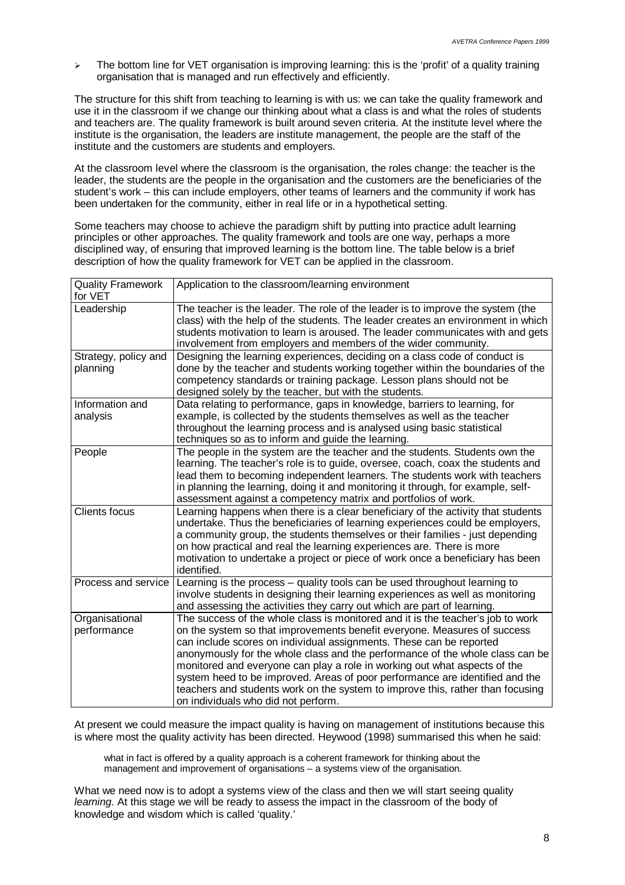$\geq$  The bottom line for VET organisation is improving learning: this is the 'profit' of a quality training organisation that is managed and run effectively and efficiently.

The structure for this shift from teaching to learning is with us: we can take the quality framework and use it in the classroom if we change our thinking about what a class is and what the roles of students and teachers are. The quality framework is built around seven criteria. At the institute level where the institute is the organisation, the leaders are institute management, the people are the staff of the institute and the customers are students and employers.

At the classroom level where the classroom is the organisation, the roles change: the teacher is the leader, the students are the people in the organisation and the customers are the beneficiaries of the student's work – this can include employers, other teams of learners and the community if work has been undertaken for the community, either in real life or in a hypothetical setting.

Some teachers may choose to achieve the paradigm shift by putting into practice adult learning principles or other approaches. The quality framework and tools are one way, perhaps a more disciplined way, of ensuring that improved learning is the bottom line. The table below is a brief description of how the quality framework for VET can be applied in the classroom.

| <b>Quality Framework</b><br>for VET | Application to the classroom/learning environment                                                                                                                                                                                                                                                                                                                                                                                                                                                                                                                                                         |
|-------------------------------------|-----------------------------------------------------------------------------------------------------------------------------------------------------------------------------------------------------------------------------------------------------------------------------------------------------------------------------------------------------------------------------------------------------------------------------------------------------------------------------------------------------------------------------------------------------------------------------------------------------------|
| Leadership                          | The teacher is the leader. The role of the leader is to improve the system (the<br>class) with the help of the students. The leader creates an environment in which<br>students motivation to learn is aroused. The leader communicates with and gets<br>involvement from employers and members of the wider community.                                                                                                                                                                                                                                                                                   |
| Strategy, policy and<br>planning    | Designing the learning experiences, deciding on a class code of conduct is<br>done by the teacher and students working together within the boundaries of the<br>competency standards or training package. Lesson plans should not be<br>designed solely by the teacher, but with the students.                                                                                                                                                                                                                                                                                                            |
| Information and<br>analysis         | Data relating to performance, gaps in knowledge, barriers to learning, for<br>example, is collected by the students themselves as well as the teacher<br>throughout the learning process and is analysed using basic statistical<br>techniques so as to inform and guide the learning.                                                                                                                                                                                                                                                                                                                    |
| People                              | The people in the system are the teacher and the students. Students own the<br>learning. The teacher's role is to guide, oversee, coach, coax the students and<br>lead them to becoming independent learners. The students work with teachers<br>in planning the learning, doing it and monitoring it through, for example, self-<br>assessment against a competency matrix and portfolios of work.                                                                                                                                                                                                       |
| <b>Clients focus</b>                | Learning happens when there is a clear beneficiary of the activity that students<br>undertake. Thus the beneficiaries of learning experiences could be employers,<br>a community group, the students themselves or their families - just depending<br>on how practical and real the learning experiences are. There is more<br>motivation to undertake a project or piece of work once a beneficiary has been<br>identified.                                                                                                                                                                              |
| Process and service                 | Learning is the process - quality tools can be used throughout learning to<br>involve students in designing their learning experiences as well as monitoring<br>and assessing the activities they carry out which are part of learning.                                                                                                                                                                                                                                                                                                                                                                   |
| Organisational<br>performance       | The success of the whole class is monitored and it is the teacher's job to work<br>on the system so that improvements benefit everyone. Measures of success<br>can include scores on individual assignments. These can be reported<br>anonymously for the whole class and the performance of the whole class can be<br>monitored and everyone can play a role in working out what aspects of the<br>system heed to be improved. Areas of poor performance are identified and the<br>teachers and students work on the system to improve this, rather than focusing<br>on individuals who did not perform. |

At present we could measure the impact quality is having on management of institutions because this is where most the quality activity has been directed. Heywood (1998) summarised this when he said:

what in fact is offered by a quality approach is a coherent framework for thinking about the management and improvement of organisations – a systems view of the organisation.

What we need now is to adopt a systems view of the class and then we will start seeing quality *learning*. At this stage we will be ready to assess the impact in the classroom of the body of knowledge and wisdom which is called 'quality.'